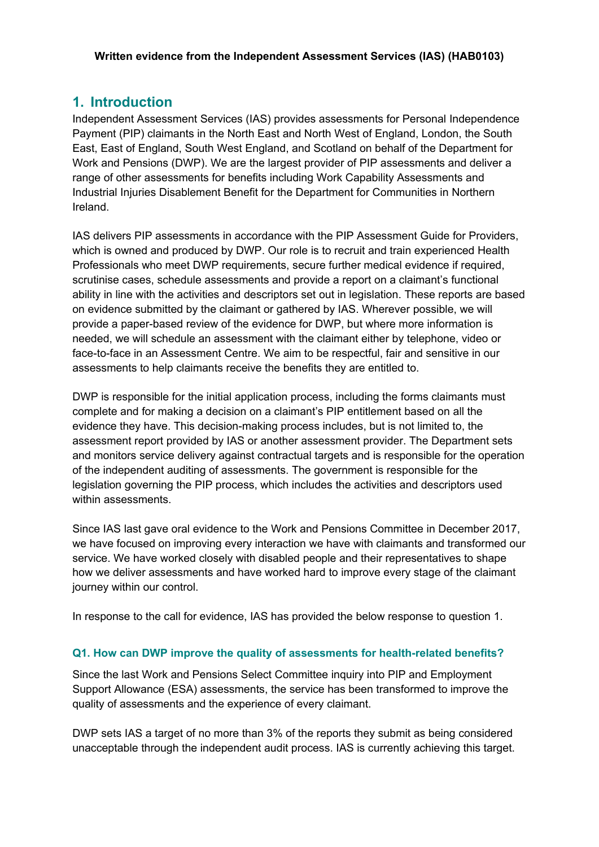## **Written evidence from the Independent Assessment Services (IAS) (HAB0103)**

# **1. Introduction**

Independent Assessment Services (IAS) provides assessments for Personal Independence Payment (PIP) claimants in the North East and North West of England, London, the South East, East of England, South West England, and Scotland on behalf of the Department for Work and Pensions (DWP). We are the largest provider of PIP assessments and deliver a range of other assessments for benefits including Work Capability Assessments and Industrial Injuries Disablement Benefit for the Department for Communities in Northern Ireland.

IAS delivers PIP assessments in accordance with the PIP Assessment Guide for Providers, which is owned and produced by DWP. Our role is to recruit and train experienced Health Professionals who meet DWP requirements, secure further medical evidence if required, scrutinise cases, schedule assessments and provide a report on a claimant's functional ability in line with the activities and descriptors set out in legislation. These reports are based on evidence submitted by the claimant or gathered by IAS. Wherever possible, we will provide a paper-based review of the evidence for DWP, but where more information is needed, we will schedule an assessment with the claimant either by telephone, video or face-to-face in an Assessment Centre. We aim to be respectful, fair and sensitive in our assessments to help claimants receive the benefits they are entitled to.

DWP is responsible for the initial application process, including the forms claimants must complete and for making a decision on a claimant's PIP entitlement based on all the evidence they have. This decision-making process includes, but is not limited to, the assessment report provided by IAS or another assessment provider. The Department sets and monitors service delivery against contractual targets and is responsible for the operation of the independent auditing of assessments. The government is responsible for the legislation governing the PIP process, which includes the activities and descriptors used within assessments.

Since IAS last gave oral evidence to the Work and Pensions Committee in December 2017, we have focused on improving every interaction we have with claimants and transformed our service. We have worked closely with disabled people and their representatives to shape how we deliver assessments and have worked hard to improve every stage of the claimant journey within our control.

In response to the call for evidence, IAS has provided the below response to question 1.

# **Q1. How can DWP improve the quality of assessments for health-related benefits?**

Since the last Work and Pensions Select Committee inquiry into PIP and Employment Support Allowance (ESA) assessments, the service has been transformed to improve the quality of assessments and the experience of every claimant.

DWP sets IAS a target of no more than 3% of the reports they submit as being considered unacceptable through the independent audit process. IAS is currently achieving this target.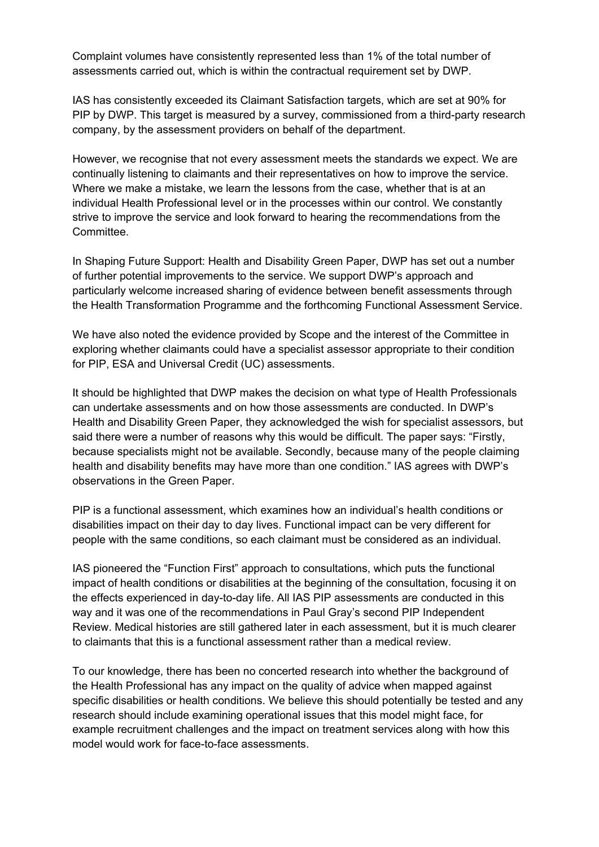Complaint volumes have consistently represented less than 1% of the total number of assessments carried out, which is within the contractual requirement set by DWP.

IAS has consistently exceeded its Claimant Satisfaction targets, which are set at 90% for PIP by DWP. This target is measured by a survey, commissioned from a third-party research company, by the assessment providers on behalf of the department.

However, we recognise that not every assessment meets the standards we expect. We are continually listening to claimants and their representatives on how to improve the service. Where we make a mistake, we learn the lessons from the case, whether that is at an individual Health Professional level or in the processes within our control. We constantly strive to improve the service and look forward to hearing the recommendations from the Committee.

In Shaping Future Support: Health and Disability Green Paper, DWP has set out a number of further potential improvements to the service. We support DWP's approach and particularly welcome increased sharing of evidence between benefit assessments through the Health Transformation Programme and the forthcoming Functional Assessment Service.

We have also noted the evidence provided by Scope and the interest of the Committee in exploring whether claimants could have a specialist assessor appropriate to their condition for PIP, ESA and Universal Credit (UC) assessments.

It should be highlighted that DWP makes the decision on what type of Health Professionals can undertake assessments and on how those assessments are conducted. In DWP's Health and Disability Green Paper, they acknowledged the wish for specialist assessors, but said there were a number of reasons why this would be difficult. The paper says: "Firstly, because specialists might not be available. Secondly, because many of the people claiming health and disability benefits may have more than one condition." IAS agrees with DWP's observations in the Green Paper.

PIP is a functional assessment, which examines how an individual's health conditions or disabilities impact on their day to day lives. Functional impact can be very different for people with the same conditions, so each claimant must be considered as an individual.

IAS pioneered the "Function First" approach to consultations, which puts the functional impact of health conditions or disabilities at the beginning of the consultation, focusing it on the effects experienced in day-to-day life. All IAS PIP assessments are conducted in this way and it was one of the recommendations in Paul Gray's second PIP Independent Review. Medical histories are still gathered later in each assessment, but it is much clearer to claimants that this is a functional assessment rather than a medical review.

To our knowledge, there has been no concerted research into whether the background of the Health Professional has any impact on the quality of advice when mapped against specific disabilities or health conditions. We believe this should potentially be tested and any research should include examining operational issues that this model might face, for example recruitment challenges and the impact on treatment services along with how this model would work for face-to-face assessments.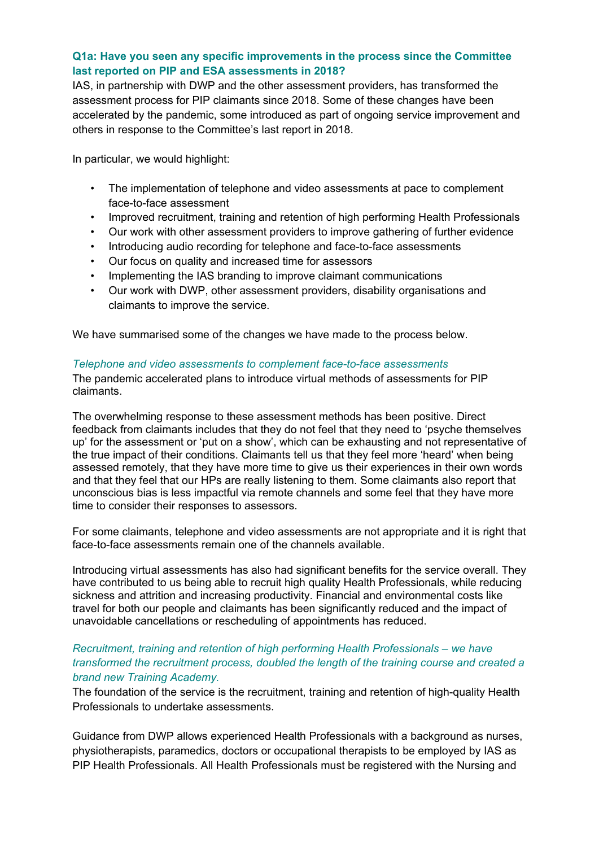## **Q1a: Have you seen any specific improvements in the process since the Committee last reported on PIP and ESA assessments in 2018?**

IAS, in partnership with DWP and the other assessment providers, has transformed the assessment process for PIP claimants since 2018. Some of these changes have been accelerated by the pandemic, some introduced as part of ongoing service improvement and others in response to the Committee's last report in 2018.

In particular, we would highlight:

- The implementation of telephone and video assessments at pace to complement face-to-face assessment
- Improved recruitment, training and retention of high performing Health Professionals
- Our work with other assessment providers to improve gathering of further evidence
- Introducing audio recording for telephone and face-to-face assessments
- Our focus on quality and increased time for assessors
- Implementing the IAS branding to improve claimant communications
- Our work with DWP, other assessment providers, disability organisations and claimants to improve the service.

We have summarised some of the changes we have made to the process below.

#### *Telephone and video assessments to complement face-to-face assessments*

The pandemic accelerated plans to introduce virtual methods of assessments for PIP claimants.

The overwhelming response to these assessment methods has been positive. Direct feedback from claimants includes that they do not feel that they need to 'psyche themselves up' for the assessment or 'put on a show', which can be exhausting and not representative of the true impact of their conditions. Claimants tell us that they feel more 'heard' when being assessed remotely, that they have more time to give us their experiences in their own words and that they feel that our HPs are really listening to them. Some claimants also report that unconscious bias is less impactful via remote channels and some feel that they have more time to consider their responses to assessors.

For some claimants, telephone and video assessments are not appropriate and it is right that face-to-face assessments remain one of the channels available.

Introducing virtual assessments has also had significant benefits for the service overall. They have contributed to us being able to recruit high quality Health Professionals, while reducing sickness and attrition and increasing productivity. Financial and environmental costs like travel for both our people and claimants has been significantly reduced and the impact of unavoidable cancellations or rescheduling of appointments has reduced.

### *Recruitment, training and retention of high performing Health Professionals – we have transformed the recruitment process, doubled the length of the training course and created a brand new Training Academy.*

The foundation of the service is the recruitment, training and retention of high-quality Health Professionals to undertake assessments.

Guidance from DWP allows experienced Health Professionals with a background as nurses, physiotherapists, paramedics, doctors or occupational therapists to be employed by IAS as PIP Health Professionals. All Health Professionals must be registered with the Nursing and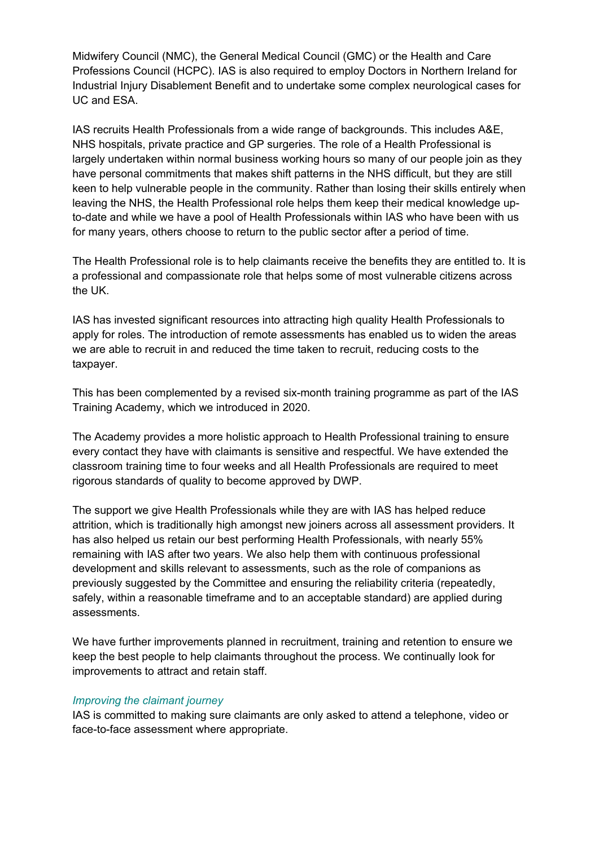Midwifery Council (NMC), the General Medical Council (GMC) or the Health and Care Professions Council (HCPC). IAS is also required to employ Doctors in Northern Ireland for Industrial Injury Disablement Benefit and to undertake some complex neurological cases for UC and ESA.

IAS recruits Health Professionals from a wide range of backgrounds. This includes A&E, NHS hospitals, private practice and GP surgeries. The role of a Health Professional is largely undertaken within normal business working hours so many of our people join as they have personal commitments that makes shift patterns in the NHS difficult, but they are still keen to help vulnerable people in the community. Rather than losing their skills entirely when leaving the NHS, the Health Professional role helps them keep their medical knowledge upto-date and while we have a pool of Health Professionals within IAS who have been with us for many years, others choose to return to the public sector after a period of time.

The Health Professional role is to help claimants receive the benefits they are entitled to. It is a professional and compassionate role that helps some of most vulnerable citizens across the UK.

IAS has invested significant resources into attracting high quality Health Professionals to apply for roles. The introduction of remote assessments has enabled us to widen the areas we are able to recruit in and reduced the time taken to recruit, reducing costs to the taxpayer.

This has been complemented by a revised six-month training programme as part of the IAS Training Academy, which we introduced in 2020.

The Academy provides a more holistic approach to Health Professional training to ensure every contact they have with claimants is sensitive and respectful. We have extended the classroom training time to four weeks and all Health Professionals are required to meet rigorous standards of quality to become approved by DWP.

The support we give Health Professionals while they are with IAS has helped reduce attrition, which is traditionally high amongst new joiners across all assessment providers. It has also helped us retain our best performing Health Professionals, with nearly 55% remaining with IAS after two years. We also help them with continuous professional development and skills relevant to assessments, such as the role of companions as previously suggested by the Committee and ensuring the reliability criteria (repeatedly, safely, within a reasonable timeframe and to an acceptable standard) are applied during assessments.

We have further improvements planned in recruitment, training and retention to ensure we keep the best people to help claimants throughout the process. We continually look for improvements to attract and retain staff.

#### *Improving the claimant journey*

IAS is committed to making sure claimants are only asked to attend a telephone, video or face-to-face assessment where appropriate.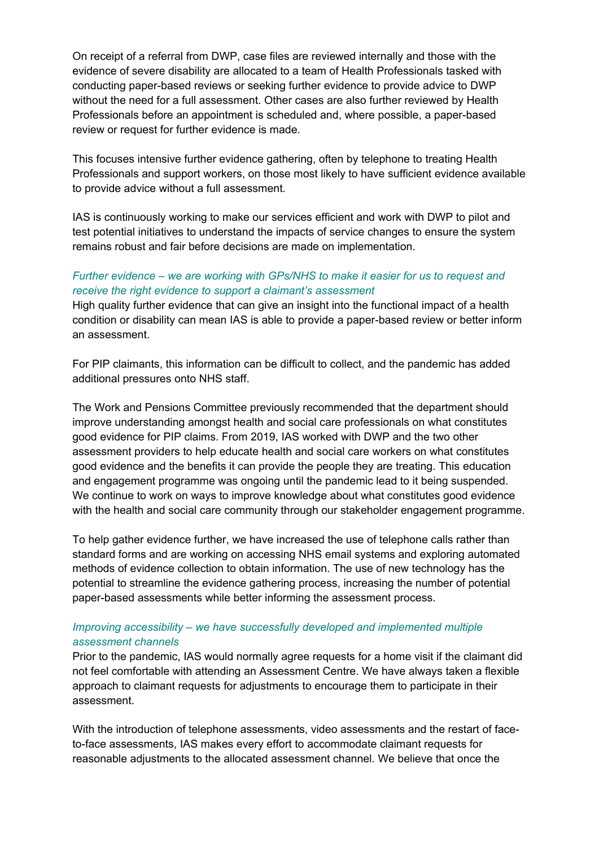On receipt of a referral from DWP, case files are reviewed internally and those with the evidence of severe disability are allocated to a team of Health Professionals tasked with conducting paper-based reviews or seeking further evidence to provide advice to DWP without the need for a full assessment. Other cases are also further reviewed by Health Professionals before an appointment is scheduled and, where possible, a paper-based review or request for further evidence is made.

This focuses intensive further evidence gathering, often by telephone to treating Health Professionals and support workers, on those most likely to have sufficient evidence available to provide advice without a full assessment.

IAS is continuously working to make our services efficient and work with DWP to pilot and test potential initiatives to understand the impacts of service changes to ensure the system remains robust and fair before decisions are made on implementation.

## *Further evidence – we are working with GPs/NHS to make it easier for us to request and receive the right evidence to support a claimant's assessment*

High quality further evidence that can give an insight into the functional impact of a health condition or disability can mean IAS is able to provide a paper-based review or better inform an assessment.

For PIP claimants, this information can be difficult to collect, and the pandemic has added additional pressures onto NHS staff.

The Work and Pensions Committee previously recommended that the department should improve understanding amongst health and social care professionals on what constitutes good evidence for PIP claims. From 2019, IAS worked with DWP and the two other assessment providers to help educate health and social care workers on what constitutes good evidence and the benefits it can provide the people they are treating. This education and engagement programme was ongoing until the pandemic lead to it being suspended. We continue to work on ways to improve knowledge about what constitutes good evidence with the health and social care community through our stakeholder engagement programme.

To help gather evidence further, we have increased the use of telephone calls rather than standard forms and are working on accessing NHS email systems and exploring automated methods of evidence collection to obtain information. The use of new technology has the potential to streamline the evidence gathering process, increasing the number of potential paper-based assessments while better informing the assessment process.

## *Improving accessibility – we have successfully developed and implemented multiple assessment channels*

Prior to the pandemic, IAS would normally agree requests for a home visit if the claimant did not feel comfortable with attending an Assessment Centre. We have always taken a flexible approach to claimant requests for adjustments to encourage them to participate in their assessment.

With the introduction of telephone assessments, video assessments and the restart of faceto-face assessments, IAS makes every effort to accommodate claimant requests for reasonable adjustments to the allocated assessment channel. We believe that once the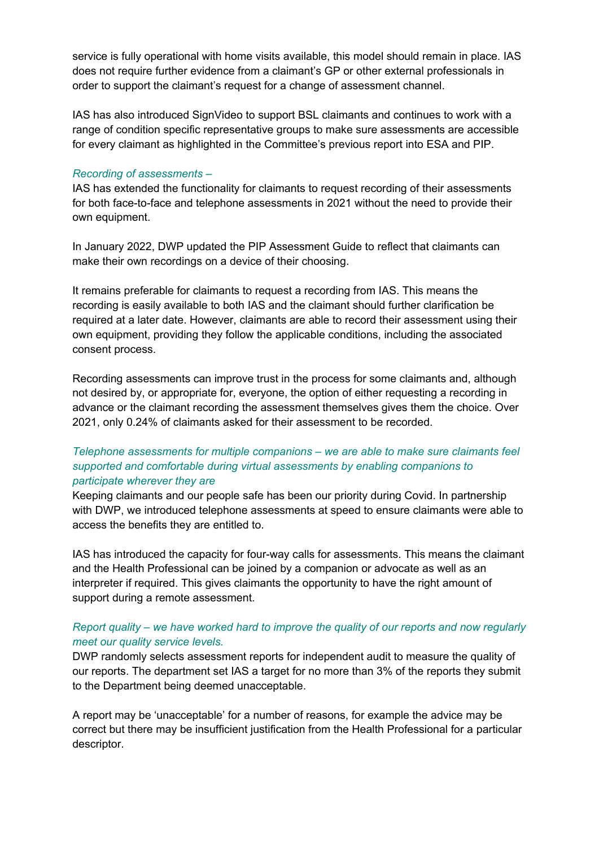service is fully operational with home visits available, this model should remain in place. IAS does not require further evidence from a claimant's GP or other external professionals in order to support the claimant's request for a change of assessment channel.

IAS has also introduced SignVideo to support BSL claimants and continues to work with a range of condition specific representative groups to make sure assessments are accessible for every claimant as highlighted in the Committee's previous report into ESA and PIP.

#### *Recording of assessments –*

IAS has extended the functionality for claimants to request recording of their assessments for both face-to-face and telephone assessments in 2021 without the need to provide their own equipment.

In January 2022, DWP updated the PIP Assessment Guide to reflect that claimants can make their own recordings on a device of their choosing.

It remains preferable for claimants to request a recording from IAS. This means the recording is easily available to both IAS and the claimant should further clarification be required at a later date. However, claimants are able to record their assessment using their own equipment, providing they follow the applicable conditions, including the associated consent process.

Recording assessments can improve trust in the process for some claimants and, although not desired by, or appropriate for, everyone, the option of either requesting a recording in advance or the claimant recording the assessment themselves gives them the choice. Over 2021, only 0.24% of claimants asked for their assessment to be recorded.

# *Telephone assessments for multiple companions – we are able to make sure claimants feel supported and comfortable during virtual assessments by enabling companions to participate wherever they are*

Keeping claimants and our people safe has been our priority during Covid. In partnership with DWP, we introduced telephone assessments at speed to ensure claimants were able to access the benefits they are entitled to.

IAS has introduced the capacity for four-way calls for assessments. This means the claimant and the Health Professional can be joined by a companion or advocate as well as an interpreter if required. This gives claimants the opportunity to have the right amount of support during a remote assessment.

## *Report quality – we have worked hard to improve the quality of our reports and now regularly meet our quality service levels.*

DWP randomly selects assessment reports for independent audit to measure the quality of our reports. The department set IAS a target for no more than 3% of the reports they submit to the Department being deemed unacceptable.

A report may be 'unacceptable' for a number of reasons, for example the advice may be correct but there may be insufficient justification from the Health Professional for a particular descriptor.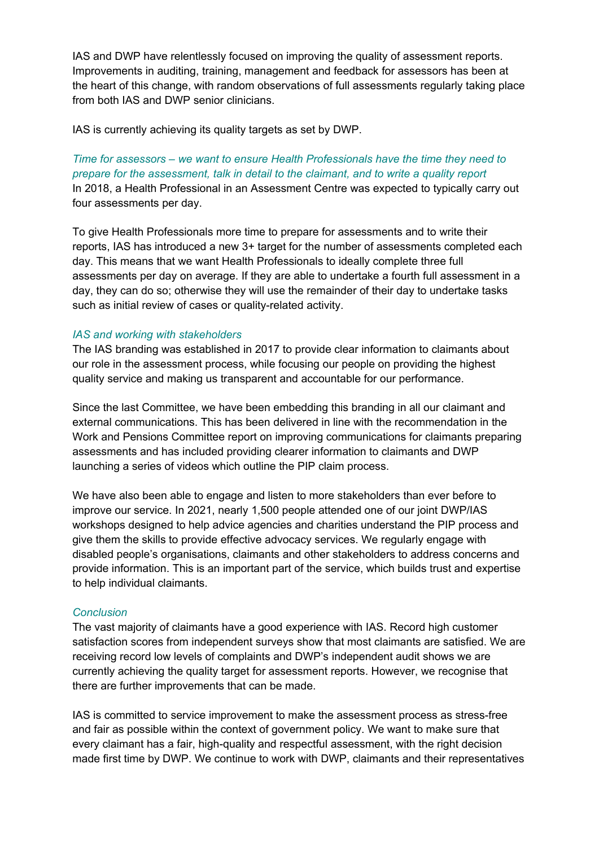IAS and DWP have relentlessly focused on improving the quality of assessment reports. Improvements in auditing, training, management and feedback for assessors has been at the heart of this change, with random observations of full assessments regularly taking place from both IAS and DWP senior clinicians.

IAS is currently achieving its quality targets as set by DWP.

*Time for assessors – we want to ensure Health Professionals have the time they need to prepare for the assessment, talk in detail to the claimant, and to write a quality report* In 2018, a Health Professional in an Assessment Centre was expected to typically carry out four assessments per day.

To give Health Professionals more time to prepare for assessments and to write their reports, IAS has introduced a new 3+ target for the number of assessments completed each day. This means that we want Health Professionals to ideally complete three full assessments per day on average. If they are able to undertake a fourth full assessment in a day, they can do so; otherwise they will use the remainder of their day to undertake tasks such as initial review of cases or quality-related activity.

#### *IAS and working with stakeholders*

The IAS branding was established in 2017 to provide clear information to claimants about our role in the assessment process, while focusing our people on providing the highest quality service and making us transparent and accountable for our performance.

Since the last Committee, we have been embedding this branding in all our claimant and external communications. This has been delivered in line with the recommendation in the Work and Pensions Committee report on improving communications for claimants preparing assessments and has included providing clearer information to claimants and DWP launching a series of videos which outline the PIP claim process.

We have also been able to engage and listen to more stakeholders than ever before to improve our service. In 2021, nearly 1,500 people attended one of our joint DWP/IAS workshops designed to help advice agencies and charities understand the PIP process and give them the skills to provide effective advocacy services. We regularly engage with disabled people's organisations, claimants and other stakeholders to address concerns and provide information. This is an important part of the service, which builds trust and expertise to help individual claimants.

#### *Conclusion*

The vast majority of claimants have a good experience with IAS. Record high customer satisfaction scores from independent surveys show that most claimants are satisfied. We are receiving record low levels of complaints and DWP's independent audit shows we are currently achieving the quality target for assessment reports. However, we recognise that there are further improvements that can be made.

IAS is committed to service improvement to make the assessment process as stress-free and fair as possible within the context of government policy. We want to make sure that every claimant has a fair, high-quality and respectful assessment, with the right decision made first time by DWP. We continue to work with DWP, claimants and their representatives